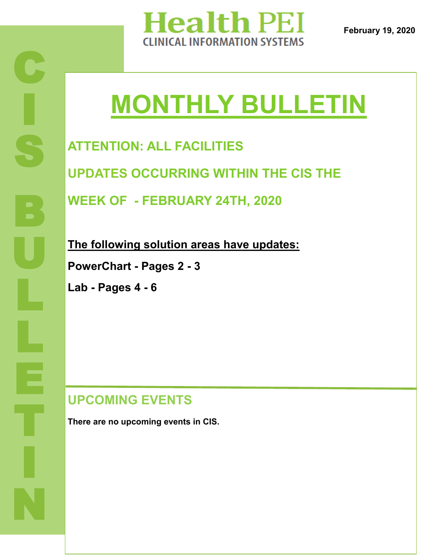

**February 19, 2020**

# **MONTHLY BULLETIN**

**ATTENTION: ALL FACILITIES**

**UPDATES OCCURRING WITHIN THE CIS THE** 

**WEEK OF - FEBRUARY 24TH, 2020**

**The following solution areas have updates:**

**PowerChart - Pages 2 - 3**

**Lab - Pages 4 - 6**

#### **UPCOMING EVENTS**

**There are no upcoming events in CIS.**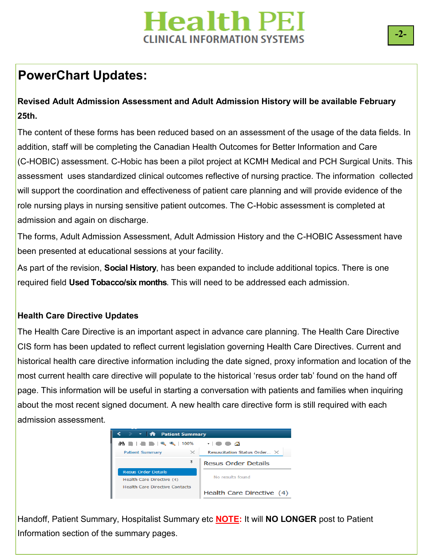## **PowerChart Updates:**

#### **Revised Adult Admission Assessment and Adult Admission History will be available February 25th.**

The content of these forms has been reduced based on an assessment of the usage of the data fields. In addition, staff will be completing the Canadian Health Outcomes for Better Information and Care (C-HOBIC) assessment. C-Hobic has been a pilot project at KCMH Medical and PCH Surgical Units. This assessment uses standardized clinical outcomes reflective of nursing practice. The information collected will support the coordination and effectiveness of patient care planning and will provide evidence of the role nursing plays in nursing sensitive patient outcomes. The C-Hobic assessment is completed at admission and again on discharge.

The forms, Adult Admission Assessment, Adult Admission History and the C-HOBIC Assessment have been presented at educational sessions at your facility.

As part of the revision, **Social History**, has been expanded to include additional topics. There is one required field **Used Tobacco/six months**. This will need to be addressed each admission.

#### **Health Care Directive Updates**

CIS form has been updated to reflect current legislation governing Health Care Directives. Current and The Health Care Directive is an important aspect in advance care planning. The Health Care Directive historical health care directive information including the date signed, proxy information and location of the most current health care directive will populate to the historical 'resus order tab' found on the hand off page. This information will be useful in starting a conversation with patients and families when inquiring about the most recent signed document. A new health care directive form is still required with each admission assessment.



Handoff, Patient Summary, Hospitalist Summary etc **NOTE:** It will **NO LONGER** post to Patient Information section of the summary pages.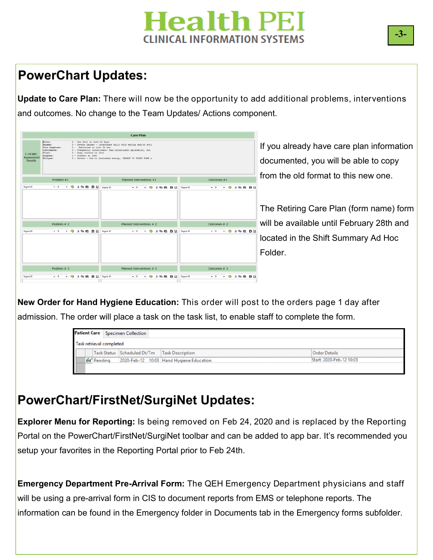### **PowerChart Updates:**

**Update to Care Plan:** There will now be the opportunity to add additional problems, interventions and outcomes. No change to the Team Updates/ Actions component.

|                              |                                                                                                                                                                                                           | <b>Care Plan</b>                                                                                                             |                                                |                                           |
|------------------------------|-----------------------------------------------------------------------------------------------------------------------------------------------------------------------------------------------------------|------------------------------------------------------------------------------------------------------------------------------|------------------------------------------------|-------------------------------------------|
| C-HOBIO                      | Falls:<br>2 - One fall in last 30 days<br><b>Nausea</b> :<br><b>Pain Symptoms</b><br>2 - Exhibited in last 24 hrs<br>Continence:<br>Ulcer:<br>3 - Deep craters in skin<br>Dyspnear<br>3 - Present at rest | 3 - Severe nausea - Interferes daily with eating and/or acti<br>3 - Frequently incontinent- Ead incontinent episode (s), but |                                                | If you already have care plan information |
| Assessment<br><b>Results</b> | Fatigue:                                                                                                                                                                                                  | 3 - Severe - Due to diminshed energy, UNABLE TO START SOME n                                                                 |                                                | documented, you will be able to copy      |
|                              | Problem #1                                                                                                                                                                                                | Planned Interventions #1                                                                                                     | Outcomes #1                                    | from the old format to this new one.      |
| Segoe UI                     | <sup>③</sup> メ m m B B U Seque UI<br>$-9$<br>$\overline{\phantom{a}}$                                                                                                                                     | - 9 % m m B U Segoe UI<br>$-9$                                                                                               | $-9$ $\times$ $-6$ $\cdot$ $-5$ $\cup$<br>$-9$ |                                           |
|                              |                                                                                                                                                                                                           |                                                                                                                              |                                                |                                           |
|                              |                                                                                                                                                                                                           |                                                                                                                              |                                                | The Retiring Care Plan (form name) form   |
|                              | Problem # 2                                                                                                                                                                                               | Planned Interventions # 2                                                                                                    | Outcomes # 2                                   | will be available until February 28th and |
| Segoe UI                     | <b>B X R B B U</b> Seque UI<br>$-9$<br>$\sim$                                                                                                                                                             | • B X lla m B U Seque UI<br>$-9$                                                                                             | $-9$ $\times$ $-6$ $\times$ $0$<br>$-9$        |                                           |
|                              |                                                                                                                                                                                                           |                                                                                                                              |                                                | located in the Shift Summary Ad Hoc       |
|                              |                                                                                                                                                                                                           |                                                                                                                              |                                                | Folder.                                   |
|                              |                                                                                                                                                                                                           |                                                                                                                              |                                                |                                           |
|                              | Problem $#3$                                                                                                                                                                                              | Planned Interventions # 3                                                                                                    | Outcomes #3                                    |                                           |
| Segoe UI                     | - 699<br><b>X R B B U</b> Seque UI<br>$-9$<br>$\overline{\phantom{a}}$                                                                                                                                    | <b>关联 B B U Segoe UI</b><br>$-9$<br>$\cdot$                                                                                  | $-9 - 0.8$ and $B$ U                           |                                           |

**CR New Order for Hand Hygiene Education:** This order will post to the orders page 1 day after admission. The order will place a task on the task list, to enable staff to complete the form.

|                                              |                   | <b>Patient Care</b> Specimen Collection |                                          |                          |
|----------------------------------------------|-------------------|-----------------------------------------|------------------------------------------|--------------------------|
| Task retrieval completed                     |                   |                                         |                                          |                          |
| Task Status Scheduled Dt/Tm Task Description |                   |                                         |                                          | <b>Order Details</b>     |
|                                              | <b>60</b> Pending |                                         | 2020-Feb-12 10:03 Hand Hygiene Education | Start: 2020-Feb-12 10:03 |
|                                              |                   |                                         |                                          |                          |

#### **PowerChart/FirstNet/SurgiNet Updates:**

**Explorer Menu for Reporting:** Is being removed on Feb 24, 2020 and is replaced by the Reporting Portal on the PowerChart/FirstNet/SurgiNet toolbar and can be added to app bar. It's recommended you setup your favorites in the Reporting Portal prior to Feb 24th.

**Emergency Department Pre-Arrival Form:** The QEH Emergency Department physicians and staff will be using a pre-arrival form in CIS to document reports from EMS or telephone reports. The information can be found in the Emergency folder in Documents tab in the Emergency forms subfolder.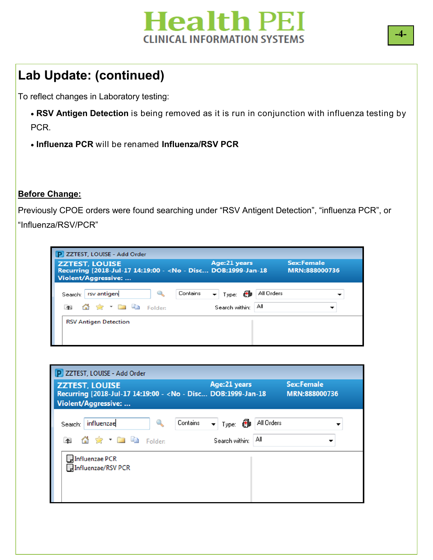

## **Lab Update: (continued)**

To reflect changes in Laboratory testing:

- **RSV Antigen Detection** is being removed as it is run in conjunction with influenza testing by PCR.
- **Influenza PCR** will be renamed **Influenza/RSV PCR**

#### **Before Change:**

Previously CPOE orders were found searching under "RSV Antigent Detection", "influenza PCR", or "Influenza/RSV/PCR"

| P ZZTEST, LOUISE - Add Order                                                                                            |                                                   |                                    |
|-------------------------------------------------------------------------------------------------------------------------|---------------------------------------------------|------------------------------------|
| <b>ZZTEST, LOUISE</b><br>Recurring [2018-Jul-17 14:19:00 - < No - Disc DOB:1999-Jan-18<br><b>Violent/Aggressive: </b>   | Age:21 years                                      | <b>Sex:Female</b><br>MRN:888000736 |
| Contains<br>rsv antigen<br>Q<br>Search:<br>$\bigcirc$ $\bigcirc$ $\bigcirc$ $\bigcirc$ $\bigcirc$ Folder:<br>$\uparrow$ | All Orders<br>▼ Type: 69<br>Αll<br>Search within: |                                    |
| <b>RSV Antigen Detection</b>                                                                                            |                                                   |                                    |



**-4-**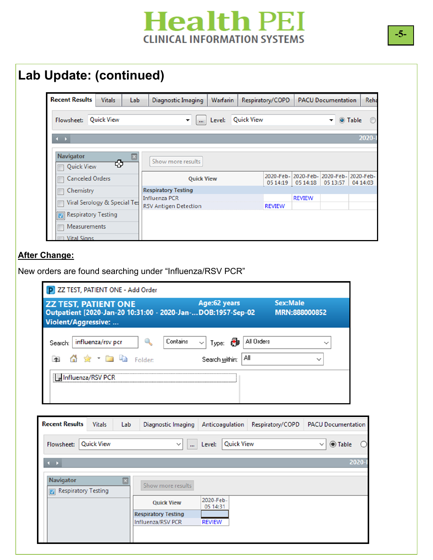| <b>Recent Results</b>  | <b>Vitals</b>                           | Lab                        | <b>Diagnostic Imaging</b>    | Warfarin |                   | Respiratory/COPD |                                | <b>PACU Documentation</b>     | Reha                  |
|------------------------|-----------------------------------------|----------------------------|------------------------------|----------|-------------------|------------------|--------------------------------|-------------------------------|-----------------------|
| Flowsheet:             | <b>Quick View</b>                       |                            | ▼<br>$\cdots$                | Level:   | <b>Quick View</b> |                  |                                |                               | O Table               |
| $\leftarrow$           |                                         |                            |                              |          |                   |                  |                                |                               | 2020-                 |
| <b>Navigator</b>       |                                         |                            |                              |          |                   |                  |                                |                               |                       |
|                        |                                         |                            |                              |          |                   |                  |                                |                               |                       |
| <b>Ouick View</b>      | ₩                                       |                            | Show more results            |          |                   |                  |                                |                               |                       |
| <b>Canceled Orders</b> |                                         |                            | <b>Quick View</b>            |          |                   |                  |                                | 2020-Feb- 2020-Feb- 2020-Feb- | 2020-Feb-<br>04 14:03 |
| Chemistry              |                                         | <b>Respiratory Testing</b> |                              |          |                   |                  | 05 14:19   05 14:18   05 13:57 |                               |                       |
|                        |                                         | <b>Influenza PCR</b>       |                              |          |                   |                  | <b>REVIEW</b>                  |                               |                       |
|                        | <b>Viral Serology &amp; Special Tes</b> |                            | <b>RSV Antigen Detection</b> |          |                   | <b>REVIEW</b>    |                                |                               |                       |
| Respiratory Testing    |                                         |                            |                              |          |                   |                  |                                |                               |                       |
| <b>Measurements</b>    |                                         |                            |                              |          |                   |                  |                                |                               |                       |

#### **After Change:**

New orders are found searching under "Influenza/RSV PCR"

| ZZ TEST, PATIENT ONE - Add Order                                                                                           |                                                                    |                                  |
|----------------------------------------------------------------------------------------------------------------------------|--------------------------------------------------------------------|----------------------------------|
| <b>ZZ TEST, PATIENT ONE</b><br>Outpatient [2020-Jan-20 10:31:00 - 2020-Jan- DOB:1957-Sep-02<br><b>Violent/Aggressive: </b> | Age:62 years                                                       | <b>Sex:Male</b><br>MRN:888000852 |
| Contains<br>influenza/rsv pcr<br>Search:<br><b>宋 - 日</b> 山<br>Folder:                                                      | All Orders<br>借個<br>Type:<br>$\checkmark$<br>Αll<br>Search within: |                                  |
| च Influenza/RSV PCR                                                                                                        |                                                                    |                                  |

| Flowsheet:                              | <b>Quick View</b> | $\checkmark$<br>$\cdots$   | <b>Quick View</b><br>Level: | <b>◎ Table</b><br>$\checkmark$ |
|-----------------------------------------|-------------------|----------------------------|-----------------------------|--------------------------------|
| $\rightarrow$                           |                   |                            |                             | 2020-                          |
| <b>Navigator</b><br>Respiratory Testing | ⊠                 | Show more results          |                             |                                |
|                                         |                   | <b>Quick View</b>          | 2020-Feb-<br>05 14:31       |                                |
|                                         |                   | <b>Respiratory Testing</b> |                             |                                |
|                                         |                   | Influenza/RSV PCR          | <b>REVIEW</b>               |                                |